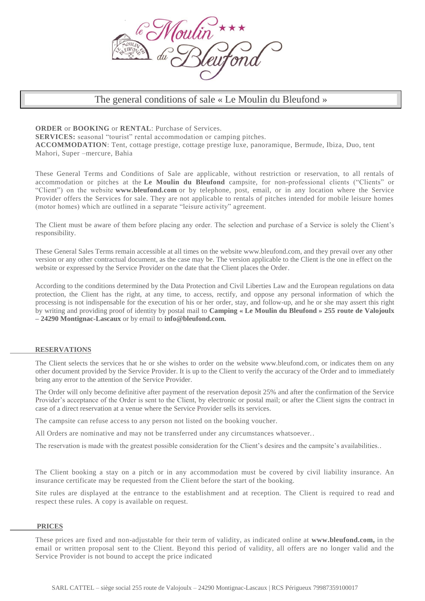

# The general conditions of sale « Le Moulin du Bleufond »

**ORDER** or **BOOKING** or **RENTAL**: Purchase of Services.

**SERVICES:** seasonal "tourist" rental accommodation or camping pitches.

**ACCOMMODATION**: Tent, cottage prestige, cottage prestige luxe, panoramique, Bermude, Ibiza, Duo, tent Mahori, Super –mercure, Bahia

These General Terms and Conditions of Sale are applicable, without restriction or reservation, to all rentals of accommodation or pitches at the **Le Moulin du Bleufond** campsite, for non-professional clients ("Clients" or "Client") on the website **www.bleufond.com** or by telephone, post, email, or in any location where the Service Provider offers the Services for sale. They are not applicable to rentals of pitches intended for mobile leisure homes (motor homes) which are outlined in a separate "leisure activity" agreement.

The Client must be aware of them before placing any order. The selection and purchase of a Service is solely the Client's responsibility.

These General Sales Terms remain accessible at all times on the website www.bleufond.com, and they prevail over any other version or any other contractual document, as the case may be. The version applicable to the Client is the one in effect on the website or expressed by the Service Provider on the date that the Client places the Order.

According to the conditions determined by the Data Protection and Civil Liberties Law and the European regulations on data protection, the Client has the right, at any time, to access, rectify, and oppose any personal information of which the processing is not indispensable for the execution of his or her order, stay, and follow-up, and he or she may assert this right by writing and providing proof of identity by postal mail to **Camping « Le Moulin du Bleufond » 255 route de Valojoulx – 24290 Montignac-Lascaux** or by email to **info@bleufond.com.**

# **RESERVATIONS**

The Client selects the services that he or she wishes to order on the website www.bleufond.com, or indicates them on any other document provided by the Service Provider. It is up to the Client to verify the accuracy of the Order and to immediately bring any error to the attention of the Service Provider.

The Order will only become definitive after payment of the reservation deposit 25% and after the confirmation of the Service Provider's acceptance of the Order is sent to the Client, by electronic or postal mail; or after the Client signs the contract in case of a direct reservation at a venue where the Service Provider sells its services.

The campsite can refuse access to any person not listed on the booking voucher.

All Orders are nominative and may not be transferred under any circumstances whatsoever..

The reservation is made with the greatest possible consideration for the Client's desires and the campsite's availabilities..

The Client booking a stay on a pitch or in any accommodation must be covered by civil liability insurance. An insurance certificate may be requested from the Client before the start of the booking.

Site rules are displayed at the entrance to the establishment and at reception. The Client is required to read and respect these rules. A copy is available on request.

## **PRICES**

These prices are fixed and non-adjustable for their term of validity, as indicated online at **www.bleufond.com,** in the email or written proposal sent to the Client. Beyond this period of validity, all offers are no longer valid and the Service Provider is not bound to accept the price indicated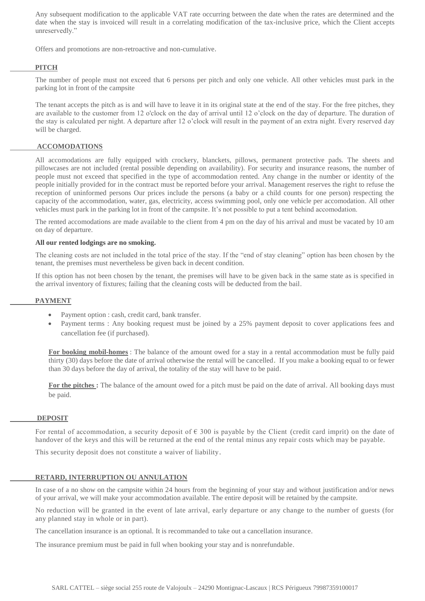Any subsequent modification to the applicable VAT rate occurring between the date when the rates are determined and the date when the stay is invoiced will result in a correlating modification of the tax-inclusive price, which the Client accepts unreservedly."

Offers and promotions are non-retroactive and non-cumulative.

# **PITCH**

The number of people must not exceed that 6 persons per pitch and only one vehicle. All other vehicles must park in the parking lot in front of the campsite

The tenant accepts the pitch as is and will have to leave it in its original state at the end of the stay. For the free pitches, they are available to the customer from 12 o'clock on the day of arrival until 12 o'clock on the day of departure. The duration of the stay is calculated per night. A departure after 12 o'clock will result in the payment of an extra night. Every reserved day will be charged.

# **ACCOMODATIONS**

All accomodations are fully equipped with crockery, blanckets, pillows, permanent protective pads. The sheets and pillowcases are not included (rental possible depending on availability). For security and insurance reasons, the number of people must not exceed that specified in the type of accommodation rented. Any change in the number or identity of the people initially provided for in the contract must be reported before your arrival. Management reserves the right to refuse the reception of uninformed persons Our prices include the persons (a baby or a child counts for one person) respecting the capacity of the accommodation, water, gas, electricity, access swimming pool, only one vehicle per accomodation. All other vehicles must park in the parking lot in front of the campsite. It's not possible to put a tent behind accomodation.

The rented accomodations are made available to the client from 4 pm on the day of his arrival and must be vacated by 10 am on day of departure.

## **All our rented lodgings are no smoking.**

The cleaning costs are not included in the total price of the stay. If the "end of stay cleaning" option has been chosen by the tenant, the premises must nevertheless be given back in decent condition.

If this option has not been chosen by the tenant, the premises will have to be given back in the same state as is specified in the arrival inventory of fixtures; failing that the cleaning costs will be deducted from the bail.

# **PAYMENT**

- Payment option : cash, credit card, bank transfer.
- Payment terms : Any booking request must be joined by a 25% payment deposit to cover applications fees and cancellation fee (if purchased).

**For booking mobil-homes** : The balance of the amount owed for a stay in a rental accommodation must be fully paid thirty (30) days before the date of arrival otherwise the rental will be cancelled. If you make a booking equal to or fewer than 30 days before the day of arrival, the totality of the stay will have to be paid.

For the pitches : The balance of the amount owed for a pitch must be paid on the date of arrival. All booking days must be paid.

## **DEPOSIT**

For rental of accommodation, a security deposit of  $\epsilon$  300 is payable by the Client (credit card imprit) on the date of handover of the keys and this will be returned at the end of the rental minus any repair costs which may be payable.

This security deposit does not constitute a waiver of liability.

## **RETARD, INTERRUPTION OU ANNULATION**

In case of a no show on the campsite within 24 hours from the beginning of your stay and without justification and/or news of your arrival, we will make your accommodation available. The entire deposit will be retained by the campsite.

No reduction will be granted in the event of late arrival, early departure or any change to the number of guests (for any planned stay in whole or in part).

The cancellation insurance is an optional. It is recommanded to take out a cancellation insurance.

The insurance premium must be paid in full when booking your stay and is nonrefundable.